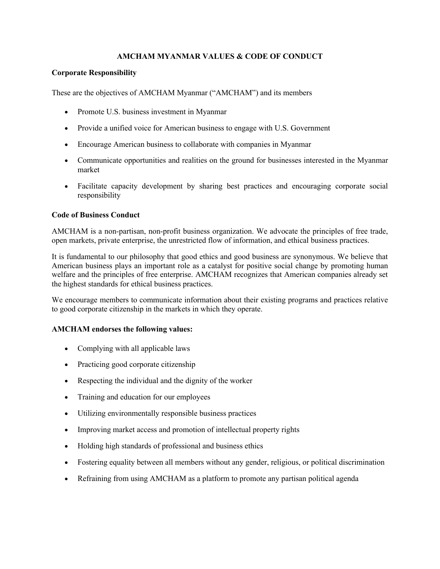## **AMCHAM MYANMAR VALUES & CODE OF CONDUCT**

## **Corporate Responsibility**

These are the objectives of AMCHAM Myanmar ("AMCHAM") and its members

- Promote U.S. business investment in Myanmar
- Provide a unified voice for American business to engage with U.S. Government
- Encourage American business to collaborate with companies in Myanmar
- Communicate opportunities and realities on the ground for businesses interested in the Myanmar market
- Facilitate capacity development by sharing best practices and encouraging corporate social responsibility

### **Code of Business Conduct**

AMCHAM is a non-partisan, non-profit business organization. We advocate the principles of free trade, open markets, private enterprise, the unrestricted flow of information, and ethical business practices.

It is fundamental to our philosophy that good ethics and good business are synonymous. We believe that American business plays an important role as a catalyst for positive social change by promoting human welfare and the principles of free enterprise. AMCHAM recognizes that American companies already set the highest standards for ethical business practices.

We encourage members to communicate information about their existing programs and practices relative to good corporate citizenship in the markets in which they operate.

### **AMCHAM endorses the following values:**

- Complying with all applicable laws
- Practicing good corporate citizenship
- Respecting the individual and the dignity of the worker
- Training and education for our employees
- Utilizing environmentally responsible business practices
- Improving market access and promotion of intellectual property rights
- Holding high standards of professional and business ethics
- Fostering equality between all members without any gender, religious, or political discrimination
- Refraining from using AMCHAM as a platform to promote any partisan political agenda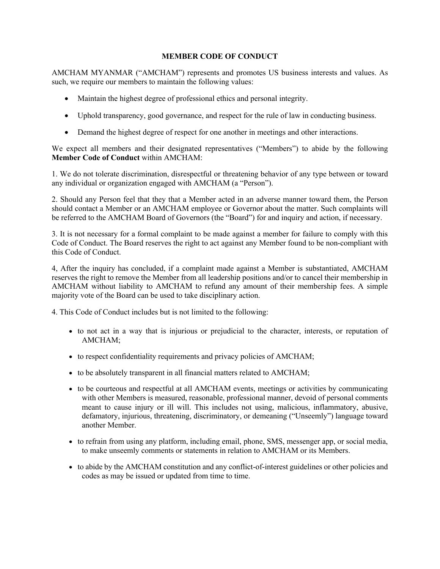### **MEMBER CODE OF CONDUCT**

AMCHAM MYANMAR ("AMCHAM") represents and promotes US business interests and values. As such, we require our members to maintain the following values:

- Maintain the highest degree of professional ethics and personal integrity.
- Uphold transparency, good governance, and respect for the rule of law in conducting business.
- Demand the highest degree of respect for one another in meetings and other interactions.

We expect all members and their designated representatives ("Members") to abide by the following **Member Code of Conduct** within AMCHAM:

1. We do not tolerate discrimination, disrespectful or threatening behavior of any type between or toward any individual or organization engaged with AMCHAM (a "Person").

2. Should any Person feel that they that a Member acted in an adverse manner toward them, the Person should contact a Member or an AMCHAM employee or Governor about the matter. Such complaints will be referred to the AMCHAM Board of Governors (the "Board") for and inquiry and action, if necessary.

3. It is not necessary for a formal complaint to be made against a member for failure to comply with this Code of Conduct. The Board reserves the right to act against any Member found to be non-compliant with this Code of Conduct.

4, After the inquiry has concluded, if a complaint made against a Member is substantiated, AMCHAM reserves the right to remove the Member from all leadership positions and/or to cancel their membership in AMCHAM without liability to AMCHAM to refund any amount of their membership fees. A simple majority vote of the Board can be used to take disciplinary action.

4. This Code of Conduct includes but is not limited to the following:

- to not act in a way that is injurious or prejudicial to the character, interests, or reputation of AMCHAM;
- to respect confidentiality requirements and privacy policies of AMCHAM;
- to be absolutely transparent in all financial matters related to AMCHAM;
- to be courteous and respectful at all AMCHAM events, meetings or activities by communicating with other Members is measured, reasonable, professional manner, devoid of personal comments meant to cause injury or ill will. This includes not using, malicious, inflammatory, abusive, defamatory, injurious, threatening, discriminatory, or demeaning ("Unseemly") language toward another Member.
- to refrain from using any platform, including email, phone, SMS, messenger app, or social media, to make unseemly comments or statements in relation to AMCHAM or its Members.
- to abide by the AMCHAM constitution and any conflict-of-interest guidelines or other policies and codes as may be issued or updated from time to time.